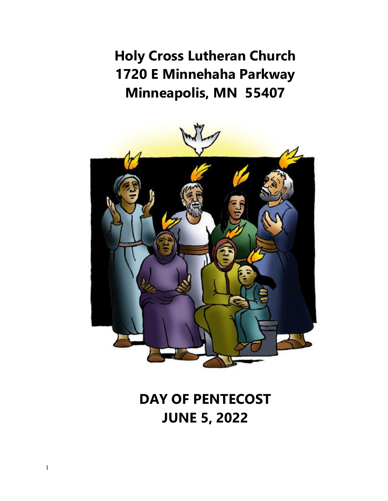**Holy Cross Lutheran Church 1720 E Minnehaha Parkway Minneapolis, MN 55407** 



# **DAY OF PENTECOST JUNE 5, 2022**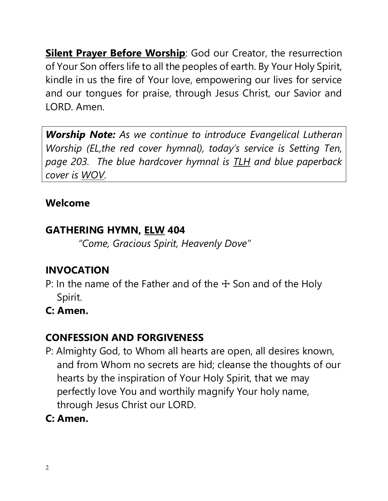**Silent Prayer Before Worship:** God our Creator, the resurrection of Your Son offers life to all the peoples of earth. By Your Holy Spirit, kindle in us the fire of Your love, empowering our lives for service and our tongues for praise, through Jesus Christ, our Savior and LORD. Amen.

*Worship Note: As we continue to introduce Evangelical Lutheran Worship (EL,the red cover hymnal), today's service is Setting Ten, page 203. The blue hardcover hymnal is TLH and blue paperback cover is WOV.* 

#### **Welcome**

### **GATHERING HYMN, ELW 404**

*"Come, Gracious Spirit, Heavenly Dove"*

# **INVOCATION**

- P: In the name of the Father and of the  $+$  Son and of the Holy Spirit.
- **C: Amen.**

# **CONFESSION AND FORGIVENESS**

- P: Almighty God, to Whom all hearts are open, all desires known, and from Whom no secrets are hid; cleanse the thoughts of our hearts by the inspiration of Your Holy Spirit, that we may perfectly love You and worthily magnify Your holy name, through Jesus Christ our LORD.
- **C: Amen.**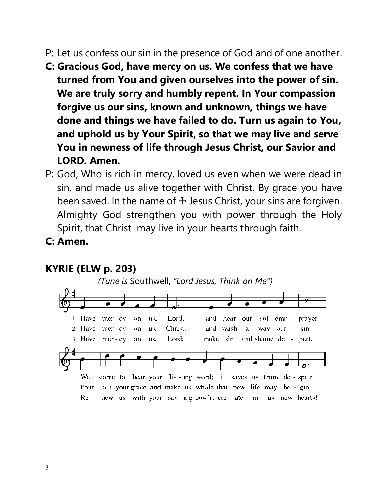- P: Let us confess our sin in the presence of God and of one another.
- **C: Gracious God, have mercy on us. We confess that we have turned from You and given ourselves into the power of sin. We are truly sorry and humbly repent. In Your compassion forgive us our sins, known and unknown, things we have done and things we have failed to do. Turn us again to You, and uphold us by Your Spirit, so that we may live and serve You in newness of life through Jesus Christ, our Savior and LORD. Amen.**
- P: God, Who is rich in mercy, loved us even when we were dead in sin, and made us alive together with Christ. By grace you have been saved. In the name of  $\pm$  Jesus Christ, your sins are forgiven. Almighty God strengthen you with power through the Holy Spirit, that Christ may live in your hearts through faith.
- **C: Amen.**

#### **KYRIE (ELW p. 203)**

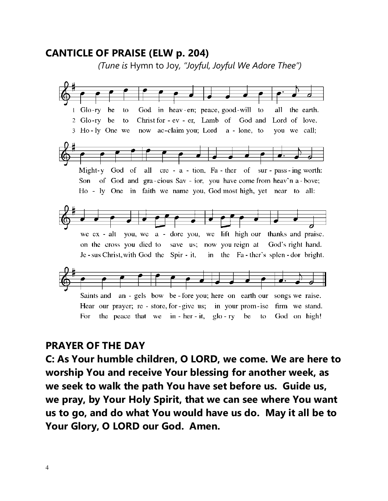#### **CANTICLE OF PRAISE (ELW p. 204)**

 *(Tune is* Hymn to Joy*, "Joyful, Joyful We Adore Thee")*



#### **PRAYER OF THE DAY**

**C: As Your humble children, O LORD, we come. We are here to worship You and receive Your blessing for another week, as we seek to walk the path You have set before us. Guide us, we pray, by Your Holy Spirit, that we can see where You want us to go, and do what You would have us do. May it all be to Your Glory, O LORD our God. Amen.**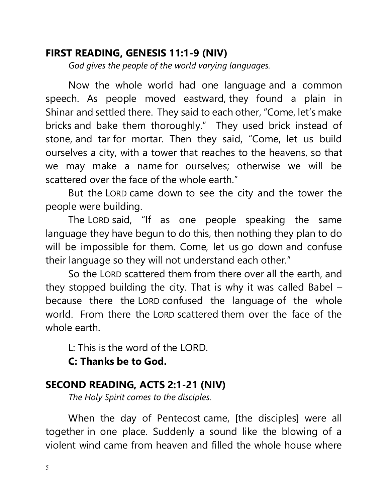#### **FIRST READING, GENESIS 11:1-9 (NIV)**

 *God gives the people of the world varying languages.* 

Now the whole world had one language and a common speech. As people moved eastward, they found a plain in Shinar and settled there. They said to each other, "Come, let's make bricks and bake them thoroughly." They used brick instead of stone, and tar for mortar. Then they said, "Come, let us build ourselves a city, with a tower that reaches to the heavens, so that we may make a name for ourselves; otherwise we will be scattered over the face of the whole earth."

But the LORD came down to see the city and the tower the people were building.

The LORD said, "If as one people speaking the same language they have begun to do this, then nothing they plan to do will be impossible for them. Come, let us go down and confuse their language so they will not understand each other."

So the LORD scattered them from there over all the earth, and they stopped building the city. That is why it was called Babel – because there the LORD confused the language of the whole world. From there the LORD scattered them over the face of the whole earth.

L: This is the word of the LORD.

 **C: Thanks be to God.**

#### **SECOND READING, ACTS 2:1-21 (NIV)**

 *The Holy Spirit comes to the disciples.* 

When the day of Pentecost came, [the disciples] were all together in one place. Suddenly a sound like the blowing of a violent wind came from heaven and filled the whole house where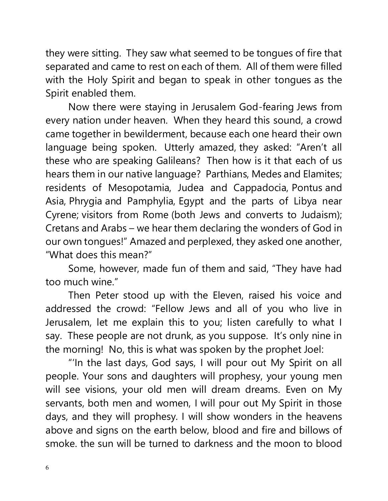they were sitting. They saw what seemed to be tongues of fire that separated and came to rest on each of them. All of them were filled with the Holy Spirit and began to speak in other tongues as the Spirit enabled them.

Now there were staying in Jerusalem God-fearing Jews from every nation under heaven. When they heard this sound, a crowd came together in bewilderment, because each one heard their own language being spoken. Utterly amazed, they asked: "Aren't all these who are speaking Galileans? Then how is it that each of us hears them in our native language? Parthians, Medes and Elamites; residents of Mesopotamia, Judea and Cappadocia, Pontus and Asia, Phrygia and Pamphylia, Egypt and the parts of Libya near Cyrene; visitors from Rome (both Jews and converts to Judaism); Cretans and Arabs – we hear them declaring the wonders of God in our own tongues!" Amazed and perplexed, they asked one another, "What does this mean?"

Some, however, made fun of them and said, "They have had too much wine."

Then Peter stood up with the Eleven, raised his voice and addressed the crowd: "Fellow Jews and all of you who live in Jerusalem, let me explain this to you; listen carefully to what I say. These people are not drunk, as you suppose. It's only nine in the morning! No, this is what was spoken by the prophet Joel:

"'In the last days, God says, I will pour out My Spirit on all people. Your sons and daughters will prophesy, your young men will see visions, your old men will dream dreams. Even on My servants, both men and women, I will pour out My Spirit in those days, and they will prophesy. I will show wonders in the heavens above and signs on the earth below, blood and fire and billows of smoke. the sun will be turned to darkness and the moon to blood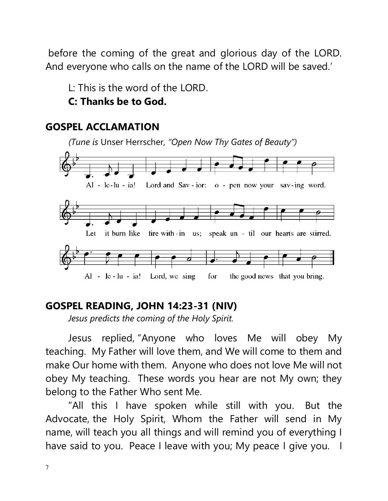before the coming of the great and glorious day of the LORD. And everyone who calls on the name of the LORD will be saved.'

L: This is the word of the LORD.

#### **C: Thanks be to God.**

#### **GOSPEL ACCLAMATION**



### **GOSPEL READING, JOHN 14:23-31 (NIV)**

 *Jesus predicts the coming of the Holy Spirit.* 

Jesus replied, "Anyone who loves Me will obey My teaching. My Father will love them, and We will come to them and make Our home with them. Anyone who does not love Me will not obey My teaching. These words you hear are not My own; they belong to the Father Who sent Me.

"All this I have spoken while still with you. But the Advocate, the Holy Spirit, Whom the Father will send in My name, will teach you all things and will remind you of everything I have said to you. Peace I leave with you; My peace I give you. I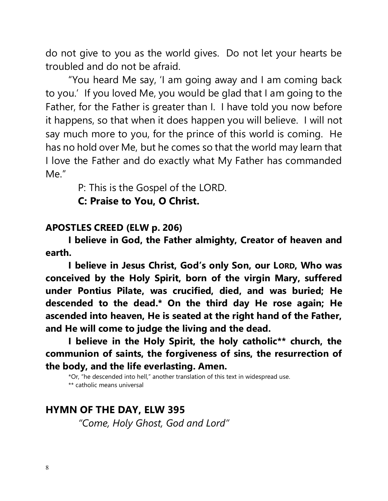do not give to you as the world gives. Do not let your hearts be troubled and do not be afraid.

"You heard Me say, 'I am going away and I am coming back to you.' If you loved Me, you would be glad that I am going to the Father, for the Father is greater than I. I have told you now before it happens, so that when it does happen you will believe. I will not say much more to you, for the prince of this world is coming. He has no hold over Me, but he comes so that the world may learn that I love the Father and do exactly what My Father has commanded Me."

P: This is the Gospel of the LORD.

 **C: Praise to You, O Christ.** 

#### **APOSTLES CREED (ELW p. 206)**

 **I believe in God, the Father almighty, Creator of heaven and earth.**

**I believe in Jesus Christ, God's only Son, our LORD, Who was conceived by the Holy Spirit, born of the virgin Mary, suffered under Pontius Pilate, was crucified, died, and was buried; He descended to the dead.\* On the third day He rose again; He ascended into heaven, He is seated at the right hand of the Father, and He will come to judge the living and the dead.**

 **I believe in the Holy Spirit, the holy catholic\*\* church, the communion of saints, the forgiveness of sins, the resurrection of the body, and the life everlasting. Amen.**

\*Or, "he descended into hell," another translation of this text in widespread use. \*\* catholic means universal

#### **HYMN OF THE DAY, ELW 395**

*"Come, Holy Ghost, God and Lord"*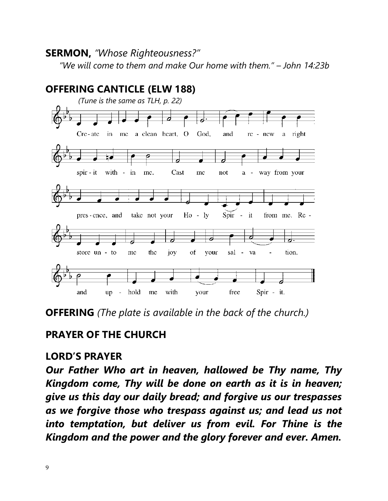#### **SERMON,** *"Whose Righteousness?"*

*"We will come to them and make Our home with them." – John 14:23b* 



**OFFERING** *(The plate is available in the back of the church.)*

#### **PRAYER OF THE CHURCH**

#### **LORD'S PRAYER**

*Our Father Who art in heaven, hallowed be Thy name, Thy Kingdom come, Thy will be done on earth as it is in heaven; give us this day our daily bread; and forgive us our trespasses as we forgive those who trespass against us; and lead us not into temptation, but deliver us from evil. For Thine is the Kingdom and the power and the glory forever and ever. Amen.*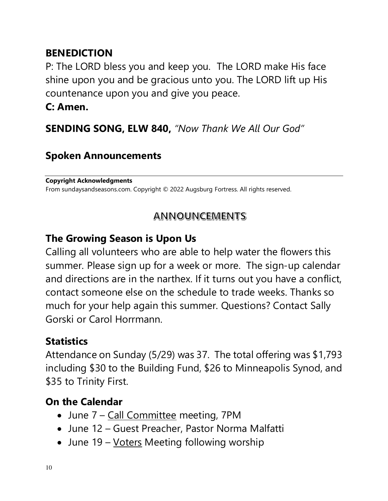### **BENEDICTION**

P: The LORD bless you and keep you. The LORD make His face shine upon you and be gracious unto you. The LORD lift up His countenance upon you and give you peace.

#### **C: Amen.**

**SENDING SONG, ELW 840,** *"Now Thank We All Our God"*

### **Spoken Announcements**

**Copyright Acknowledgments**  From sundaysandseasons.com. Copyright © 2022 Augsburg Fortress. All rights reserved.

#### **ANNOUNCEMENTS**

### **The Growing Season is Upon Us**

Calling all volunteers who are able to help water the flowers this summer. Please sign up for a week or more. The sign-up calendar and directions are in the narthex. If it turns out you have a conflict, contact someone else on the schedule to trade weeks. Thanks so much for your help again this summer. Questions? Contact Sally Gorski or Carol Horrmann.

### **Statistics**

Attendance on Sunday (5/29) was 37. The total offering was \$1,793 including \$30 to the Building Fund, \$26 to Minneapolis Synod, and \$35 to Trinity First.

### **On the Calendar**

- June 7 Call Committee meeting, 7PM
- June 12 Guest Preacher, Pastor Norma Malfatti
- June 19 Voters Meeting following worship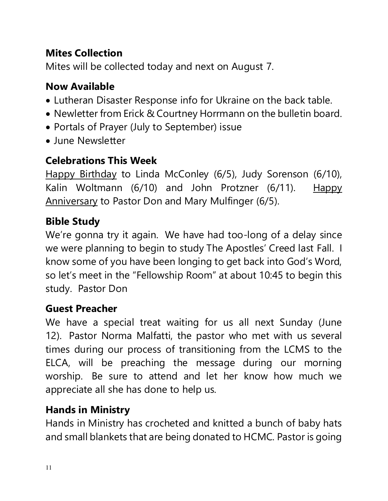# **Mites Collection**

Mites will be collected today and next on August 7.

# **Now Available**

- Lutheran Disaster Response info for Ukraine on the back table.
- Newletter from Erick & Courtney Horrmann on the bulletin board.
- Portals of Prayer (July to September) issue
- June Newsletter

# **Celebrations This Week**

Happy Birthday to Linda McConley (6/5), Judy Sorenson (6/10), Kalin Woltmann (6/10) and John Protzner (6/11). Happy Anniversary to Pastor Don and Mary Mulfinger (6/5).

# **Bible Study**

We're gonna try it again. We have had too-long of a delay since we were planning to begin to study The Apostles' Creed last Fall. I know some of you have been longing to get back into God's Word, so let's meet in the "Fellowship Room" at about 10:45 to begin this study. Pastor Don

### **Guest Preacher**

We have a special treat waiting for us all next Sunday (June 12). Pastor Norma Malfatti, the pastor who met with us several times during our process of transitioning from the LCMS to the ELCA, will be preaching the message during our morning worship. Be sure to attend and let her know how much we appreciate all she has done to help us.

### **Hands in Ministry**

Hands in Ministry has crocheted and knitted a bunch of baby hats and small blankets that are being donated to HCMC. Pastor is going